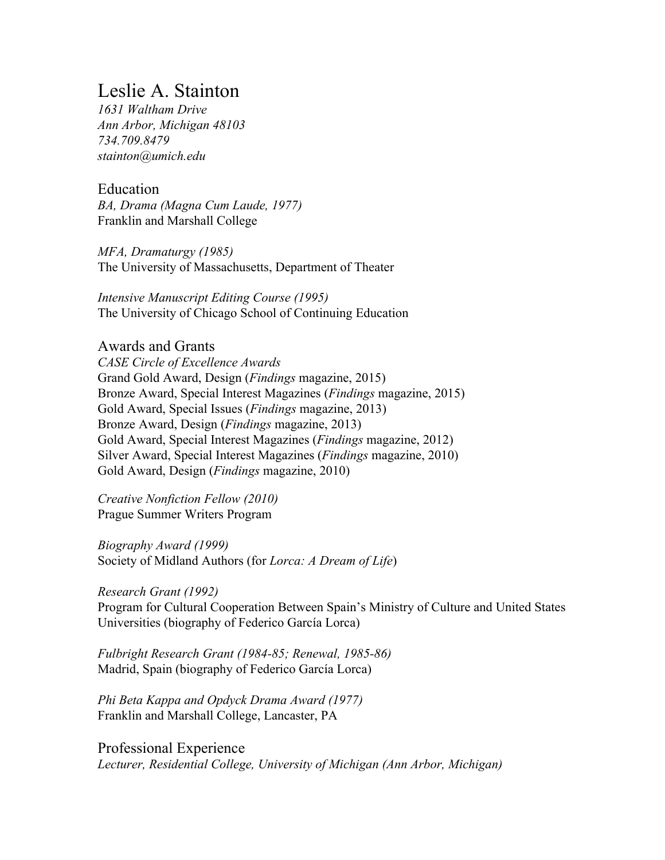# Leslie A. Stainton

*1631 Waltham Drive Ann Arbor, Michigan 48103 734.709.8479 stainton@umich.edu*

Education *BA, Drama (Magna Cum Laude, 1977)* Franklin and Marshall College

*MFA, Dramaturgy (1985)* The University of Massachusetts, Department of Theater

*Intensive Manuscript Editing Course (1995)* The University of Chicago School of Continuing Education

Awards and Grants

*CASE Circle of Excellence Awards* Grand Gold Award, Design (*Findings* magazine, 2015) Bronze Award, Special Interest Magazines (*Findings* magazine, 2015) Gold Award, Special Issues (*Findings* magazine, 2013) Bronze Award, Design (*Findings* magazine, 2013) Gold Award, Special Interest Magazines (*Findings* magazine, 2012) Silver Award, Special Interest Magazines (*Findings* magazine, 2010) Gold Award, Design (*Findings* magazine, 2010)

*Creative Nonfiction Fellow (2010)* Prague Summer Writers Program

*Biography Award (1999)* Society of Midland Authors (for *Lorca: A Dream of Life*)

*Research Grant (1992)*

Program for Cultural Cooperation Between Spain's Ministry of Culture and United States Universities (biography of Federico García Lorca)

*Fulbright Research Grant (1984-85; Renewal, 1985-86)* Madrid, Spain (biography of Federico García Lorca)

*Phi Beta Kappa and Opdyck Drama Award (1977)* Franklin and Marshall College, Lancaster, PA

Professional Experience *Lecturer, Residential College, University of Michigan (Ann Arbor, Michigan)*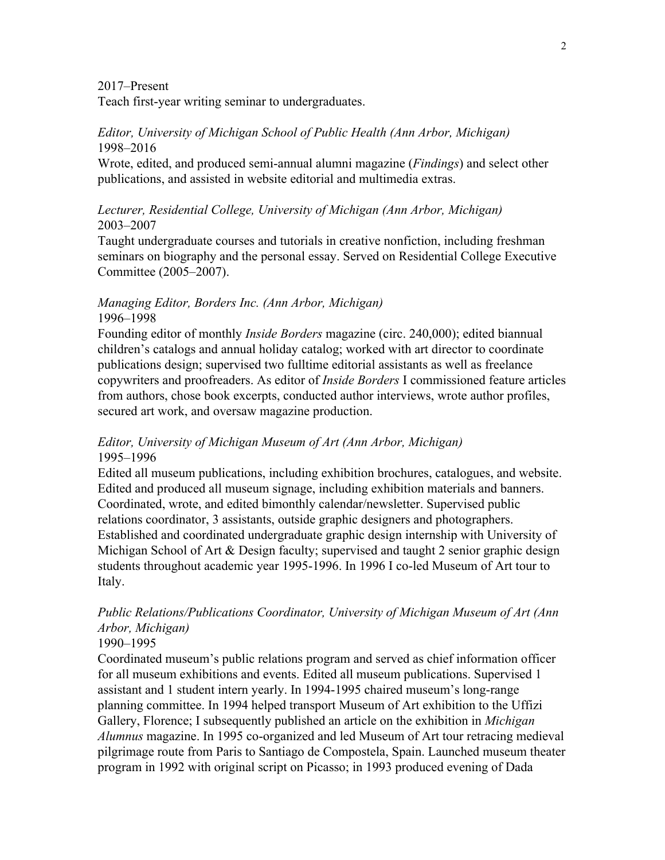2017–Present

Teach first-year writing seminar to undergraduates.

### *Editor, University of Michigan School of Public Health (Ann Arbor, Michigan)* 1998–2016

Wrote, edited, and produced semi-annual alumni magazine (*Findings*) and select other publications, and assisted in website editorial and multimedia extras.

### *Lecturer, Residential College, University of Michigan (Ann Arbor, Michigan)* 2003–2007

Taught undergraduate courses and tutorials in creative nonfiction, including freshman seminars on biography and the personal essay. Served on Residential College Executive Committee (2005–2007).

### *Managing Editor, Borders Inc. (Ann Arbor, Michigan)* 1996–1998

Founding editor of monthly *Inside Borders* magazine (circ. 240,000); edited biannual children's catalogs and annual holiday catalog; worked with art director to coordinate publications design; supervised two fulltime editorial assistants as well as freelance copywriters and proofreaders. As editor of *Inside Borders* I commissioned feature articles from authors, chose book excerpts, conducted author interviews, wrote author profiles, secured art work, and oversaw magazine production.

### *Editor, University of Michigan Museum of Art (Ann Arbor, Michigan)* 1995–1996

Edited all museum publications, including exhibition brochures, catalogues, and website. Edited and produced all museum signage, including exhibition materials and banners. Coordinated, wrote, and edited bimonthly calendar/newsletter. Supervised public relations coordinator, 3 assistants, outside graphic designers and photographers. Established and coordinated undergraduate graphic design internship with University of Michigan School of Art & Design faculty; supervised and taught 2 senior graphic design students throughout academic year 1995-1996. In 1996 I co-led Museum of Art tour to Italy.

## *Public Relations/Publications Coordinator, University of Michigan Museum of Art (Ann Arbor, Michigan)*

### 1990–1995

Coordinated museum's public relations program and served as chief information officer for all museum exhibitions and events. Edited all museum publications. Supervised 1 assistant and 1 student intern yearly. In 1994-1995 chaired museum's long-range planning committee. In 1994 helped transport Museum of Art exhibition to the Uffizi Gallery, Florence; I subsequently published an article on the exhibition in *Michigan Alumnus* magazine. In 1995 co-organized and led Museum of Art tour retracing medieval pilgrimage route from Paris to Santiago de Compostela, Spain. Launched museum theater program in 1992 with original script on Picasso; in 1993 produced evening of Dada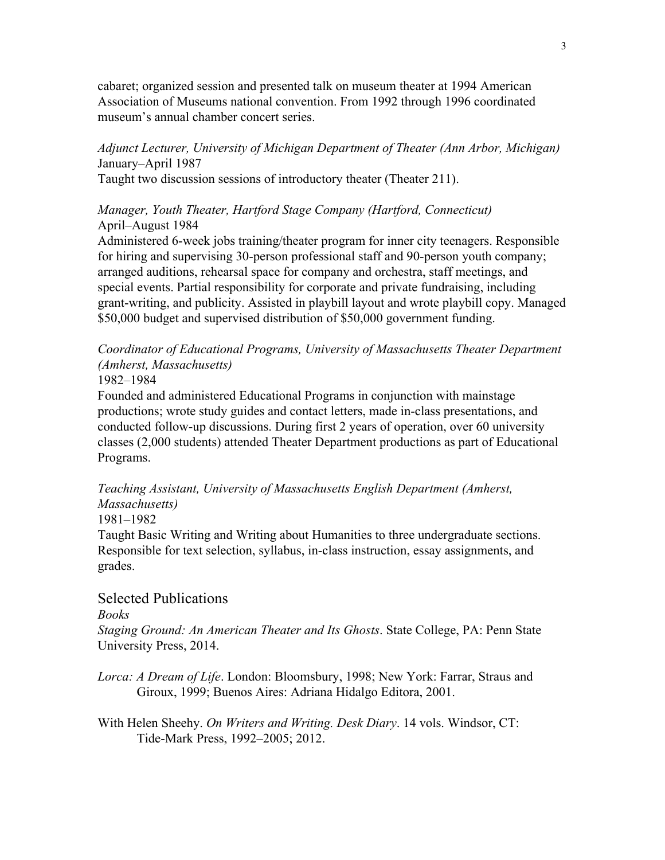cabaret; organized session and presented talk on museum theater at 1994 American Association of Museums national convention. From 1992 through 1996 coordinated museum's annual chamber concert series.

*Adjunct Lecturer, University of Michigan Department of Theater (Ann Arbor, Michigan)* January–April 1987 Taught two discussion sessions of introductory theater (Theater 211).

### *Manager, Youth Theater, Hartford Stage Company (Hartford, Connecticut)* April–August 1984

Administered 6-week jobs training/theater program for inner city teenagers. Responsible for hiring and supervising 30-person professional staff and 90-person youth company; arranged auditions, rehearsal space for company and orchestra, staff meetings, and special events. Partial responsibility for corporate and private fundraising, including grant-writing, and publicity. Assisted in playbill layout and wrote playbill copy. Managed \$50,000 budget and supervised distribution of \$50,000 government funding.

*Coordinator of Educational Programs, University of Massachusetts Theater Department (Amherst, Massachusetts)*

1982–1984

Founded and administered Educational Programs in conjunction with mainstage productions; wrote study guides and contact letters, made in-class presentations, and conducted follow-up discussions. During first 2 years of operation, over 60 university classes (2,000 students) attended Theater Department productions as part of Educational Programs.

*Teaching Assistant, University of Massachusetts English Department (Amherst, Massachusetts)*

1981–1982

Taught Basic Writing and Writing about Humanities to three undergraduate sections. Responsible for text selection, syllabus, in-class instruction, essay assignments, and grades.

### Selected Publications

*Books*

*Staging Ground: An American Theater and Its Ghosts*. State College, PA: Penn State University Press, 2014.

*Lorca: A Dream of Life*. London: Bloomsbury, 1998; New York: Farrar, Straus and Giroux, 1999; Buenos Aires: Adriana Hidalgo Editora, 2001.

With Helen Sheehy. *On Writers and Writing. Desk Diary*. 14 vols. Windsor, CT: Tide-Mark Press, 1992–2005; 2012.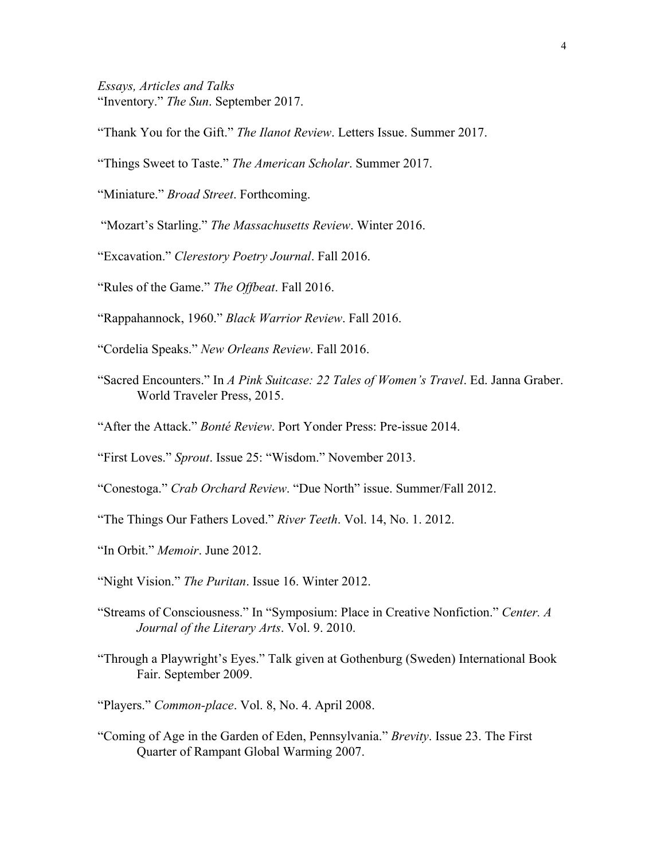*Essays, Articles and Talks* "Inventory." *The Sun*. September 2017.

"Thank You for the Gift." *The Ilanot Review*. Letters Issue. Summer 2017.

"Things Sweet to Taste." *The American Scholar*. Summer 2017.

"Miniature." *Broad Street*. Forthcoming.

"Mozart's Starling." *The Massachusetts Review*. Winter 2016.

"Excavation." *Clerestory Poetry Journal*. Fall 2016.

"Rules of the Game." *The Offbeat*. Fall 2016.

"Rappahannock, 1960." *Black Warrior Review*. Fall 2016.

"Cordelia Speaks." *New Orleans Review*. Fall 2016.

- "Sacred Encounters." In *A Pink Suitcase: 22 Tales of Women's Travel*. Ed. Janna Graber. World Traveler Press, 2015.
- "After the Attack." *Bonté Review*. Port Yonder Press: Pre-issue 2014.

"First Loves." *Sprout*. Issue 25: "Wisdom." November 2013.

"Conestoga." *Crab Orchard Review*. "Due North" issue. Summer/Fall 2012.

"The Things Our Fathers Loved." *River Teeth*. Vol. 14, No. 1. 2012.

- "In Orbit." *Memoir*. June 2012.
- "Night Vision." *The Puritan*. Issue 16. Winter 2012.
- "Streams of Consciousness." In "Symposium: Place in Creative Nonfiction." *Center. A Journal of the Literary Arts*. Vol. 9. 2010.
- "Through a Playwright's Eyes." Talk given at Gothenburg (Sweden) International Book Fair. September 2009.
- "Players." *Common-place*. Vol. 8, No. 4. April 2008.
- "Coming of Age in the Garden of Eden, Pennsylvania." *Brevity*. Issue 23. The First Quarter of Rampant Global Warming 2007.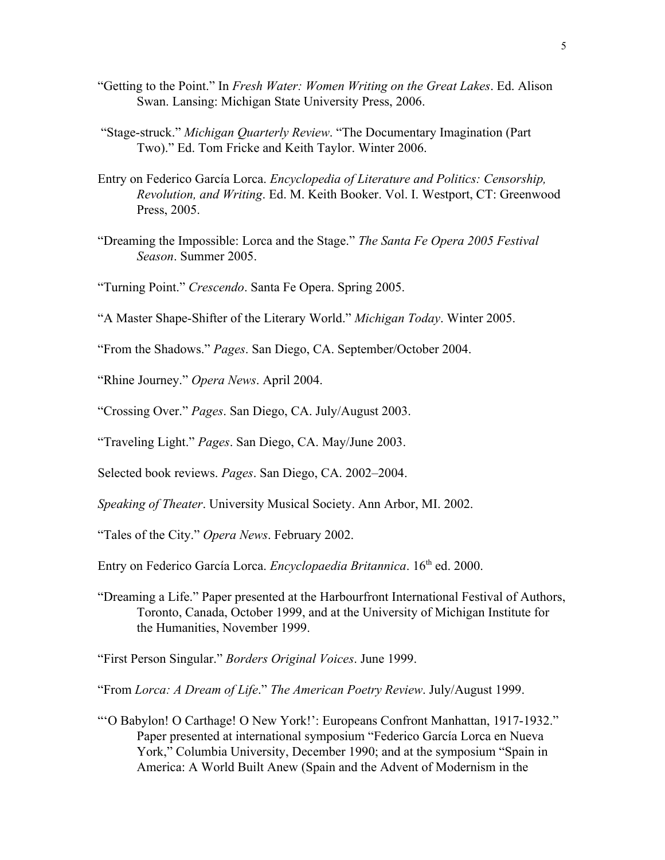- "Getting to the Point." In *Fresh Water: Women Writing on the Great Lakes*. Ed. Alison Swan. Lansing: Michigan State University Press, 2006.
- "Stage-struck." *Michigan Quarterly Review*. "The Documentary Imagination (Part Two)." Ed. Tom Fricke and Keith Taylor. Winter 2006.
- Entry on Federico García Lorca. *Encyclopedia of Literature and Politics: Censorship, Revolution, and Writing*. Ed. M. Keith Booker. Vol. I. Westport, CT: Greenwood Press, 2005.
- "Dreaming the Impossible: Lorca and the Stage." *The Santa Fe Opera 2005 Festival Season*. Summer 2005.
- "Turning Point." *Crescendo*. Santa Fe Opera. Spring 2005.
- "A Master Shape-Shifter of the Literary World." *Michigan Today*. Winter 2005.
- "From the Shadows." *Pages*. San Diego, CA. September/October 2004.
- "Rhine Journey." *Opera News*. April 2004.
- "Crossing Over." *Pages*. San Diego, CA. July/August 2003.
- "Traveling Light." *Pages*. San Diego, CA. May/June 2003.
- Selected book reviews. *Pages*. San Diego, CA. 2002–2004.
- *Speaking of Theater*. University Musical Society. Ann Arbor, MI. 2002.
- "Tales of the City." *Opera News*. February 2002.
- Entry on Federico García Lorca. *Encyclopaedia Britannica*. 16<sup>th</sup> ed. 2000.
- "Dreaming a Life." Paper presented at the Harbourfront International Festival of Authors, Toronto, Canada, October 1999, and at the University of Michigan Institute for the Humanities, November 1999.
- "First Person Singular." *Borders Original Voices*. June 1999.
- "From *Lorca: A Dream of Life*." *The American Poetry Review*. July/August 1999.
- "'O Babylon! O Carthage! O New York!': Europeans Confront Manhattan, 1917-1932." Paper presented at international symposium "Federico García Lorca en Nueva York," Columbia University, December 1990; and at the symposium "Spain in America: A World Built Anew (Spain and the Advent of Modernism in the